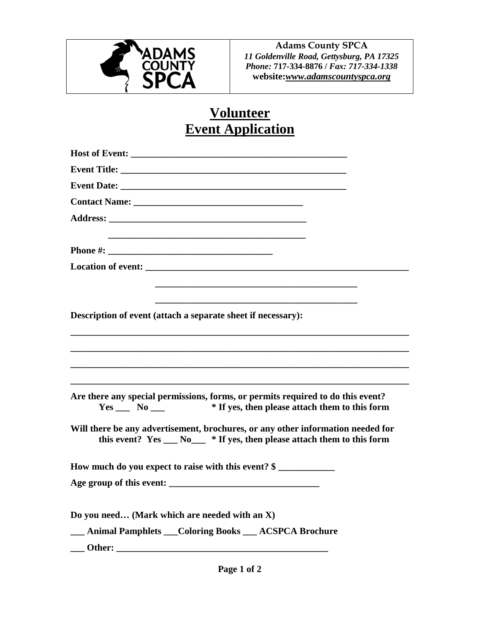

**Adams County SPCA** *11 Goldenville Road, Gettysburg, PA 17325 Phone:* **717-334-8876 /** *Fax: 717-334-1338* **website:***[www.adamscountyspca.org](http://www.adamscountyspca.org/)*

## **Volunteer Event Application**

| Contact Name: Name:                                                                                                                                          |
|--------------------------------------------------------------------------------------------------------------------------------------------------------------|
|                                                                                                                                                              |
|                                                                                                                                                              |
|                                                                                                                                                              |
| Description of event (attach a separate sheet if necessary):                                                                                                 |
|                                                                                                                                                              |
| Are there any special permissions, forms, or permits required to do this event?<br>Yes ______ No ______ * If yes, then please attach them to this form       |
| Will there be any advertisement, brochures, or any other information needed for<br>this event? $Yes \_ No \_ * If yes, then please attach them to this form$ |
| How much do you expect to raise with this event? \$                                                                                                          |
|                                                                                                                                                              |
| Do you need (Mark which are needed with an X)                                                                                                                |
| <b>EXAMPLE Animal Pamphlets Coloring Books CACSPCA Brochure</b>                                                                                              |
| Other:                                                                                                                                                       |